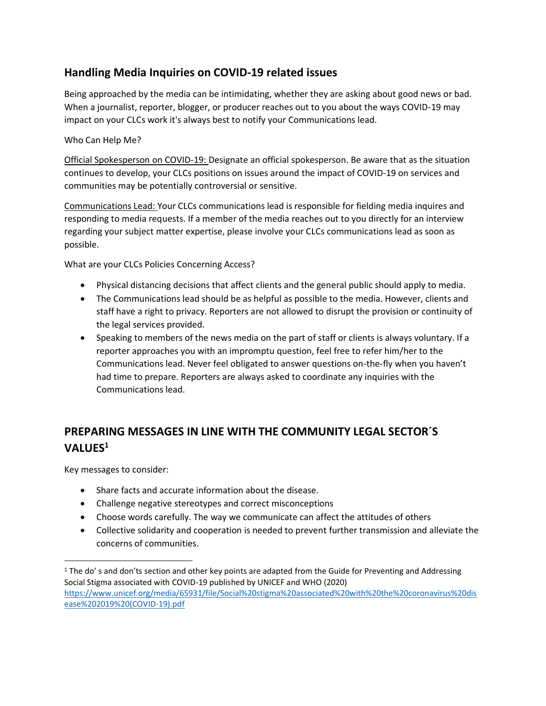## **Handling Media Inquiries on COVID-19 related issues**

Being approached by the media can be intimidating, whether they are asking about good news or bad. When a journalist, reporter, blogger, or producer reaches out to you about the ways COVID-19 may impact on your CLCs work it's always best to notify your Communications lead.

## Who Can Help Me?

Official Spokesperson on COVID-19: Designate an official spokesperson. Be aware that as the situation continues to develop, your CLCs positions on issues around the impact of COVID-19 on services and communities may be potentially controversial or sensitive.

Communications Lead: Your CLCs communications lead is responsible for fielding media inquires and responding to media requests. If a member of the media reaches out to you directly for an interview regarding your subject matter expertise, please involve your CLCs communications lead as soon as possible.

What are your CLCs Policies Concerning Access?

- Physical distancing decisions that affect clients and the general public should apply to media.
- The Communications lead should be as helpful as possible to the media. However, clients and staff have a right to privacy. Reporters are not allowed to disrupt the provision or continuity of the legal services provided.
- Speaking to members of the news media on the part of staff or clients is always voluntary. If a reporter approaches you with an impromptu question, feel free to refer him/her to the Communications lead. Never feel obligated to answer questions on-the-fly when you haven't had time to prepare. Reporters are always asked to coordinate any inquiries with the Communications lead.

## **PREPARING MESSAGES IN LINE WITH THE COMMUNITY LEGAL SECTOR´S VALUES<sup>1</sup>**

Key messages to consider:

- Share facts and accurate information about the disease.
- Challenge negative stereotypes and correct misconceptions
- Choose words carefully. The way we communicate can affect the attitudes of others
- Collective solidarity and cooperation is needed to prevent further transmission and alleviate the concerns of communities.

<sup>1</sup> The do' s and don'ts section and other key points are adapted from the Guide for Preventing and Addressing Social Stigma associated with COVID-19 published by UNICEF and WHO (2020) [https://www.unicef.org/media/65931/file/Social%20stigma%20associated%20with%20the%20coronavirus%20dis](https://www.unicef.org/media/65931/file/Social%20stigma%20associated%20with%20the%20coronavirus%20disease%202019%20(COVID-19).pdf) [ease%202019%20\(COVID-19\).pdf](https://www.unicef.org/media/65931/file/Social%20stigma%20associated%20with%20the%20coronavirus%20disease%202019%20(COVID-19).pdf)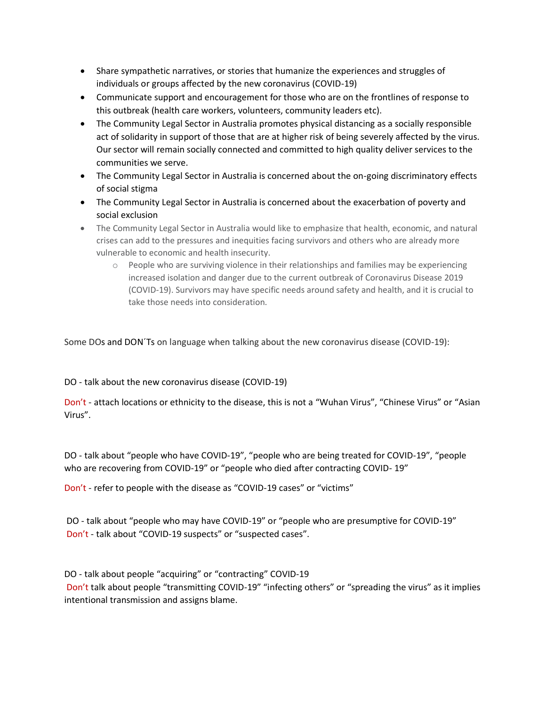- Share sympathetic narratives, or stories that humanize the experiences and struggles of individuals or groups affected by the new coronavirus (COVID-19)
- Communicate support and encouragement for those who are on the frontlines of response to this outbreak (health care workers, volunteers, community leaders etc).
- The Community Legal Sector in Australia promotes physical distancing as a socially responsible act of solidarity in support of those that are at higher risk of being severely affected by the virus. Our sector will remain socially connected and committed to high quality deliver services to the communities we serve.
- The Community Legal Sector in Australia is concerned about the on-going discriminatory effects of social stigma
- The Community Legal Sector in Australia is concerned about the exacerbation of poverty and social exclusion
- The Community Legal Sector in Australia would like to emphasize that health, economic, and natural crises can add to the pressures and inequities facing survivors and others who are already more vulnerable to economic and health insecurity.
	- o People who are surviving violence in their relationships and families may be experiencing increased isolation and danger due to the current outbreak of Coronavirus Disease 2019 (COVID-19). Survivors may have specific needs around safety and health, and it is crucial to take those needs into consideration.

Some DOs and DON´Ts on language when talking about the new coronavirus disease (COVID-19):

DO - talk about the new coronavirus disease (COVID-19)

Don't - attach locations or ethnicity to the disease, this is not a "Wuhan Virus", "Chinese Virus" or "Asian Virus".

DO - talk about "people who have COVID-19", "people who are being treated for COVID-19", "people who are recovering from COVID-19" or "people who died after contracting COVID- 19"

Don't - refer to people with the disease as "COVID-19 cases" or "victims"

DO - talk about "people who may have COVID-19" or "people who are presumptive for COVID-19" Don't - talk about "COVID-19 suspects" or "suspected cases".

DO - talk about people "acquiring" or "contracting" COVID-19 Don't talk about people "transmitting COVID-19" "infecting others" or "spreading the virus" as it implies intentional transmission and assigns blame.